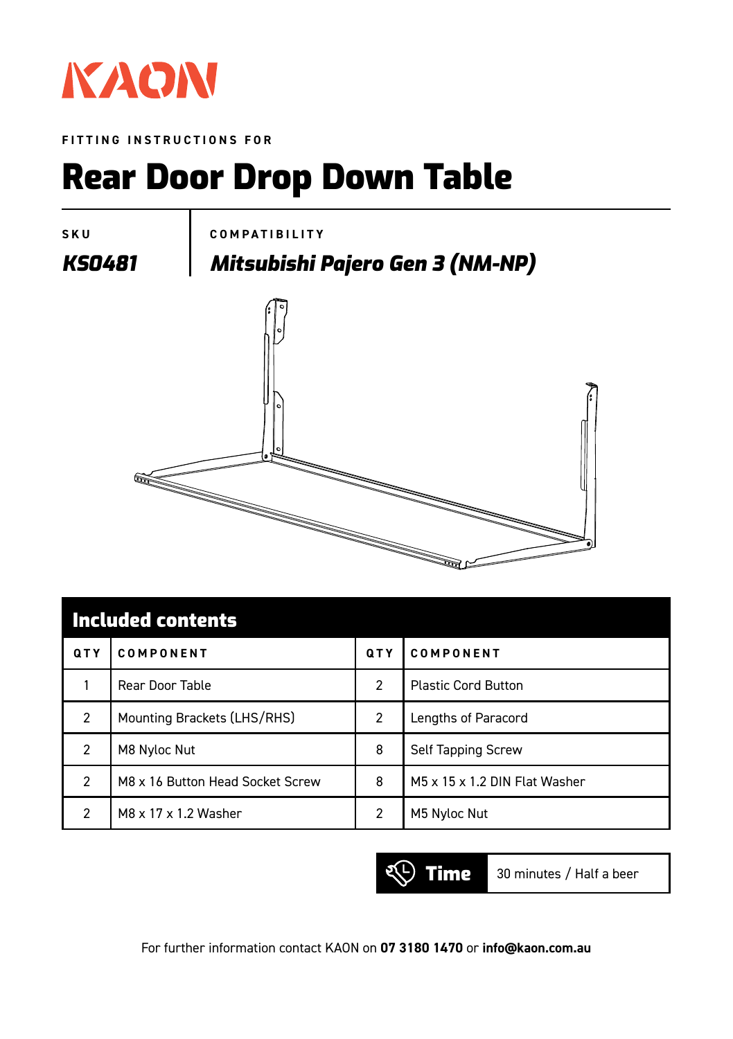

**FITTING INSTRUCTIONS FOR**

## Rear Door Drop Down Table



| <b>Included contents</b> |                                  |               |                               |  |  |  |  |
|--------------------------|----------------------------------|---------------|-------------------------------|--|--|--|--|
| QTY                      | COMPONENT                        | QTY           | COMPONENT                     |  |  |  |  |
|                          | Rear Door Table                  | $\mathcal{P}$ | <b>Plastic Cord Button</b>    |  |  |  |  |
| 2                        | Mounting Brackets (LHS/RHS)      | 2             | Lengths of Paracord           |  |  |  |  |
| $\mathfrak{p}$           | M8 Nyloc Nut                     | 8             | Self Tapping Screw            |  |  |  |  |
| 2                        | M8 x 16 Button Head Socket Screw | 8             | M5 x 15 x 1.2 DIN Flat Washer |  |  |  |  |
| 2                        | M8 x 17 x 1.2 Washer             | 2             | M5 Nyloc Nut                  |  |  |  |  |



For further information contact KAON on **07 3180 1470** or **info@kaon.com.au**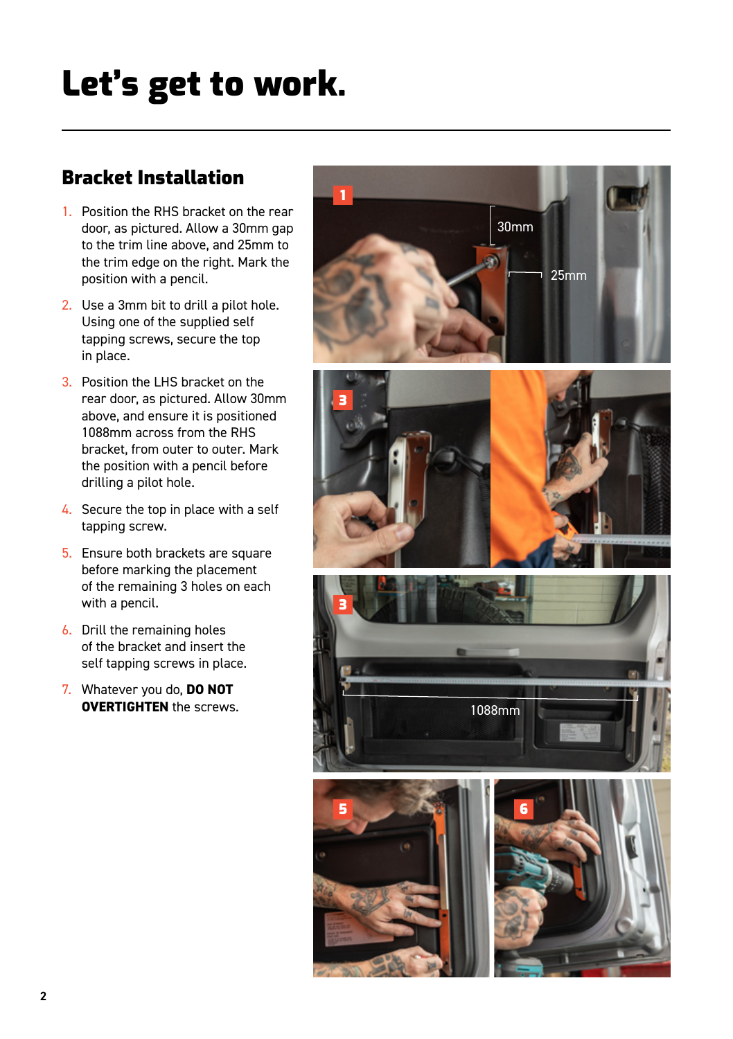# Let's get to work.

### Bracket Installation

- 1. Position the RHS bracket on the rear door, as pictured. Allow a 30mm gap to the trim line above, and 25mm to the trim edge on the right. Mark the position with a pencil.
- 2. Use a 3mm bit to drill a pilot hole. Using one of the supplied self tapping screws, secure the top in place.
- 3. Position the LHS bracket on the rear door, as pictured. Allow 30mm above, and ensure it is positioned 1088mm across from the RHS bracket, from outer to outer. Mark the position with a pencil before drilling a pilot hole.
- 4. Secure the top in place with a self tapping screw.
- 5. Ensure both brackets are square before marking the placement of the remaining 3 holes on each with a pencil.
- 6. Drill the remaining holes of the bracket and insert the self tapping screws in place.
- 7. Whatever you do, **DO NOT OVERTIGHTEN** the screws.

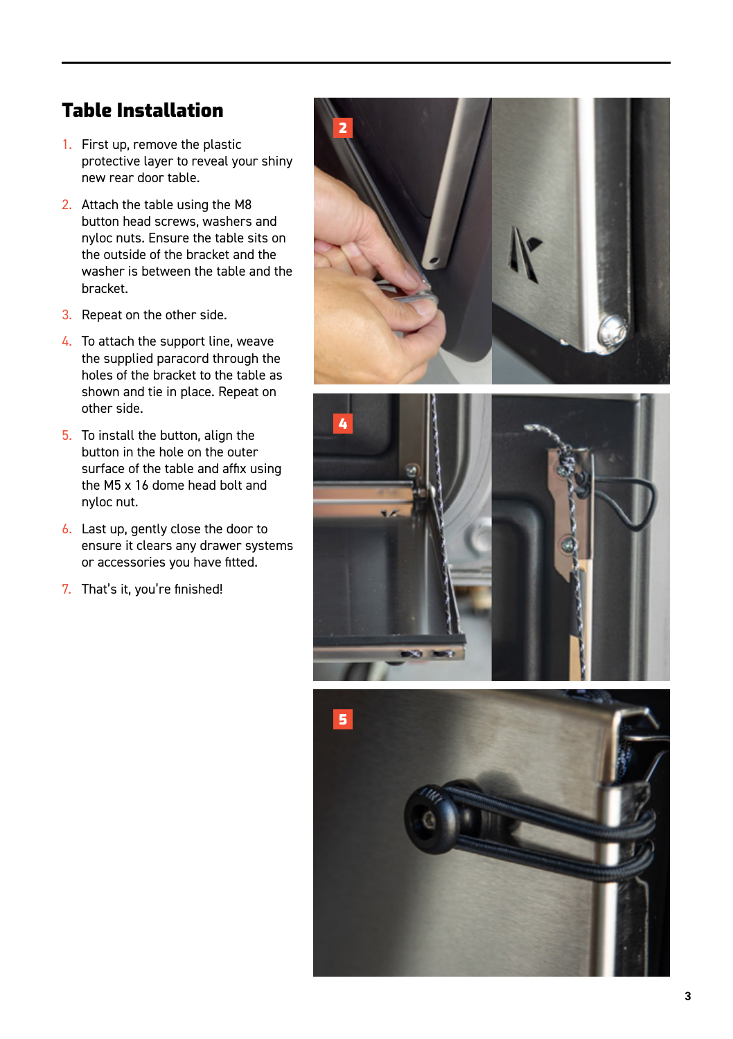#### Table Installation

- 1. First up, remove the plastic protective layer to reveal your shiny new rear door table.
- 2. Attach the table using the M8 button head screws, washers and nyloc nuts. Ensure the table sits on the outside of the bracket and the washer is between the table and the bracket.
- 3. Repeat on the other side.
- 4. To attach the support line, weave the supplied paracord through the holes of the bracket to the table as shown and tie in place. Repeat on other side.
- 5. To install the button, align the button in the hole on the outer surface of the table and affix using the M5 x 16 dome head bolt and nyloc nut.
- 6. Last up, gently close the door to ensure it clears any drawer systems or accessories you have fitted.
- 7. That's it, you're finished!